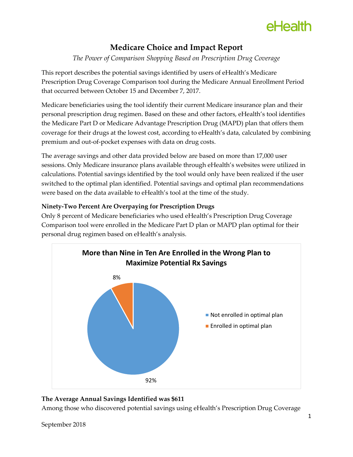# eHealth

### **Medicare Choice and Impact Report**

*The Power of Comparison Shopping Based on Prescription Drug Coverage*

This report describes the potential savings identified by users of eHealth's Medicare Prescription Drug Coverage Comparison tool during the Medicare Annual Enrollment Period that occurred between October 15 and December 7, 2017.

Medicare beneficiaries using the tool identify their current Medicare insurance plan and their personal prescription drug regimen. Based on these and other factors, eHealth's tool identifies the Medicare Part D or Medicare Advantage Prescription Drug (MAPD) plan that offers them coverage for their drugs at the lowest cost, according to eHealth's data, calculated by combining premium and out-of-pocket expenses with data on drug costs.

The average savings and other data provided below are based on more than 17,000 user sessions. Only Medicare insurance plans available through eHealth's websites were utilized in calculations. Potential savings identified by the tool would only have been realized if the user switched to the optimal plan identified. Potential savings and optimal plan recommendations were based on the data available to eHealth's tool at the time of the study.

### **Ninety-Two Percent Are Overpaying for Prescription Drugs**

Only 8 percent of Medicare beneficiaries who used eHealth's Prescription Drug Coverage Comparison tool were enrolled in the Medicare Part D plan or MAPD plan optimal for their personal drug regimen based on eHealth's analysis.



### **The Average Annual Savings Identified was \$611**

Among those who discovered potential savings using eHealth's Prescription Drug Coverage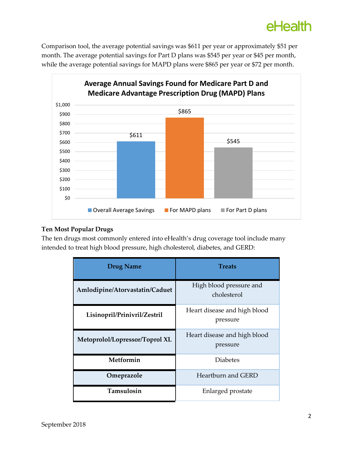## eHealth

Comparison tool, the average potential savings was \$611 per year or approximately \$51 per month. The average potential savings for Part D plans was \$545 per year or \$45 per month, while the average potential savings for MAPD plans were \$865 per year or \$72 per month.



#### **Ten Most Popular Drugs**

The ten drugs most commonly entered into eHealth's drug coverage tool include many intended to treat high blood pressure, high cholesterol, diabetes, and GERD:

| <b>Drug Name</b>               | <b>Treats</b>                            |
|--------------------------------|------------------------------------------|
| Amlodipine/Atorvastatin/Caduet | High blood pressure and<br>cholesterol   |
| Lisinopril/Prinivril/Zestril   | Heart disease and high blood<br>pressure |
| Metoprolol/Lopressor/Toprol XL | Heart disease and high blood<br>pressure |
| Metformin                      | <b>Diabetes</b>                          |
| Omeprazole                     | Heartburn and GERD                       |
| Tamsulosin                     | Enlarged prostate                        |